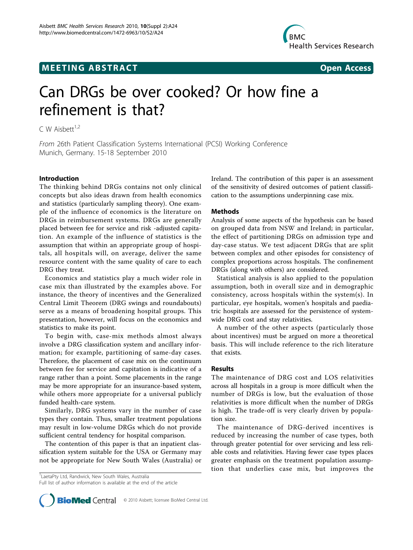## **MEETING ABSTRACT CONSUMING ABSTRACT**



# Can DRGs be over cooked? Or how fine a refinement is that?

C W Aisbett $1,2$ 

From 26th Patient Classification Systems International (PCSI) Working Conference Munich, Germany. 15-18 September 2010

### Introduction

The thinking behind DRGs contains not only clinical concepts but also ideas drawn from health economics and statistics (particularly sampling theory). One example of the influence of economics is the literature on DRGs in reimbursement systems. DRGs are generally placed between fee for service and risk -adjusted capitation. An example of the influence of statistics is the assumption that within an appropriate group of hospitals, all hospitals will, on average, deliver the same resource content with the same quality of care to each DRG they treat.

Economics and statistics play a much wider role in case mix than illustrated by the examples above. For instance, the theory of incentives and the Generalized Central Limit Theorem (DRG swings and roundabouts) serve as a means of broadening hospital groups. This presentation, however, will focus on the economics and statistics to make its point.

To begin with, case-mix methods almost always involve a DRG classification system and ancillary information; for example, partitioning of same-day cases. Therefore, the placement of case mix on the continuum between fee for service and capitation is indicative of a range rather than a point. Some placements in the range may be more appropriate for an insurance-based system, while others more appropriate for a universal publicly funded health-care system.

Similarly, DRG systems vary in the number of case types they contain. Thus, smaller treatment populations may result in low-volume DRGs which do not provide sufficient central tendency for hospital comparison.

The contention of this paper is that an inpatient classification system suitable for the USA or Germany may not be appropriate for New South Wales (Australia) or

<sup>1</sup> LaetaPty Ltd, Randwick, New South Wales, Australia Full list of author information is available at the end of the article Ireland. The contribution of this paper is an assessment of the sensitivity of desired outcomes of patient classification to the assumptions underpinning case mix.

### Methods

Analysis of some aspects of the hypothesis can be based on grouped data from NSW and Ireland; in particular, the effect of partitioning DRGs on admission type and day-case status. We test adjacent DRGs that are split between complex and other episodes for consistency of complex proportions across hospitals. The confinement DRGs (along with others) are considered.

Statistical analysis is also applied to the population assumption, both in overall size and in demographic consistency, across hospitals within the system(s). In particular, eye hospitals, women's hospitals and paediatric hospitals are assessed for the persistence of systemwide DRG cost and stay relativities.

A number of the other aspects (particularly those about incentives) must be argued on more a theoretical basis. This will include reference to the rich literature that exists.

#### Results

The maintenance of DRG cost and LOS relativities across all hospitals in a group is more difficult when the number of DRGs is low, but the evaluation of those relativities is more difficult when the number of DRGs is high. The trade-off is very clearly driven by population size.

The maintenance of DRG-derived incentives is reduced by increasing the number of case types, both through greater potential for over servicing and less reliable costs and relativities. Having fewer case types places greater emphasis on the treatment population assumption that underlies case mix, but improves the